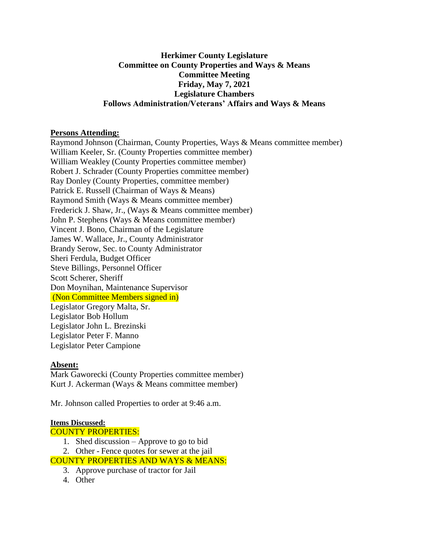## **Herkimer County Legislature Committee on County Properties and Ways & Means Committee Meeting Friday, May 7, 2021 Legislature Chambers Follows Administration/Veterans' Affairs and Ways & Means**

### **Persons Attending:**

Raymond Johnson (Chairman, County Properties, Ways & Means committee member) William Keeler, Sr. (County Properties committee member) William Weakley (County Properties committee member) Robert J. Schrader (County Properties committee member) Ray Donley (County Properties, committee member) Patrick E. Russell (Chairman of Ways & Means) Raymond Smith (Ways & Means committee member) Frederick J. Shaw, Jr., (Ways & Means committee member) John P. Stephens (Ways & Means committee member) Vincent J. Bono, Chairman of the Legislature James W. Wallace, Jr., County Administrator Brandy Serow, Sec. to County Administrator Sheri Ferdula, Budget Officer Steve Billings, Personnel Officer Scott Scherer, Sheriff Don Moynihan, Maintenance Supervisor (Non Committee Members signed in) Legislator Gregory Malta, Sr. Legislator Bob Hollum Legislator John L. Brezinski Legislator Peter F. Manno Legislator Peter Campione

## **Absent:**

Mark Gaworecki (County Properties committee member) Kurt J. Ackerman (Ways & Means committee member)

Mr. Johnson called Properties to order at 9:46 a.m.

#### **Items Discussed:**

COUNTY PROPERTIES:

1. Shed discussion – Approve to go to bid

2. Other - Fence quotes for sewer at the jail

- COUNTY PROPERTIES AND WAYS & MEANS:
	- 3. Approve purchase of tractor for Jail
	- 4. Other